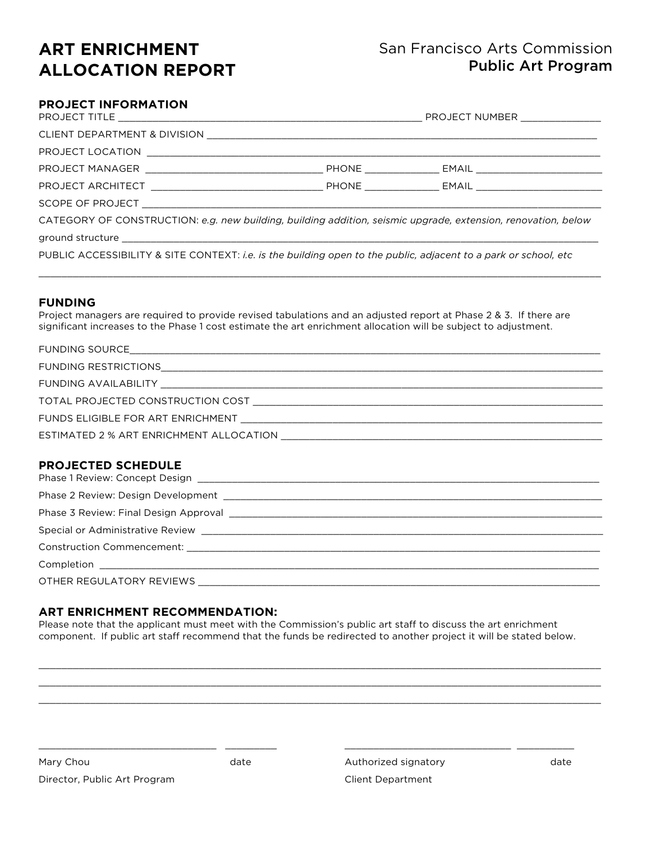# **ART ENRICHMENT ALLOCATION REPORT**

# San Francisco Arts Commission Public Art Program

## **PROJECT INFORMATION**

| CATEGORY OF CONSTRUCTION: e.g. new building, building addition, seismic upgrade, extension, renovation, below   |  |  |  |
|-----------------------------------------------------------------------------------------------------------------|--|--|--|
|                                                                                                                 |  |  |  |
| PUBLIC ACCESSIBILITY & SITE CONTEXT: i.e. is the building open to the public, adjacent to a park or school, etc |  |  |  |

\_\_\_\_\_\_\_\_\_\_\_\_\_\_\_\_\_\_\_\_\_\_\_\_\_\_\_\_\_\_\_\_\_\_\_\_\_\_\_\_\_\_\_\_\_\_\_\_\_\_\_\_\_\_\_\_\_\_\_\_\_\_\_\_\_\_\_\_\_\_\_\_\_\_\_\_\_\_\_\_\_\_\_\_\_\_\_\_\_\_\_\_\_\_\_\_\_\_

#### **FUNDING**

Project managers are required to provide revised tabulations and an adjusted report at Phase 2 & 3. If there are significant increases to the Phase 1 cost estimate the art enrichment allocation will be subject to adjustment.

| ESTIMATED 2 % ART ENRICHMENT ALLOCATION AND THE STATE SERIES OF STATE STATES. |  |
|-------------------------------------------------------------------------------|--|

#### **PROJECTED SCHEDULE**

#### **ART ENRICHMENT RECOMMENDATION:**

\_\_\_\_\_\_\_\_\_\_\_\_\_\_\_\_\_\_\_\_\_\_\_\_\_\_\_\_\_\_\_ \_\_\_\_\_\_\_\_\_

Please note that the applicant must meet with the Commission's public art staff to discuss the art enrichment component. If public art staff recommend that the funds be redirected to another project it will be stated below.

\_\_\_\_\_\_\_\_\_\_\_\_\_\_\_\_\_\_\_\_\_\_\_\_\_\_\_\_\_\_\_\_\_\_\_\_\_\_\_\_\_\_\_\_\_\_\_\_\_\_\_\_\_\_\_\_\_\_\_\_\_\_\_\_\_\_\_\_\_\_\_\_\_\_\_\_\_\_\_\_\_\_\_\_\_\_\_\_\_\_\_\_\_\_\_\_\_\_ \_\_\_\_\_\_\_\_\_\_\_\_\_\_\_\_\_\_\_\_\_\_\_\_\_\_\_\_\_\_\_\_\_\_\_\_\_\_\_\_\_\_\_\_\_\_\_\_\_\_\_\_\_\_\_\_\_\_\_\_\_\_\_\_\_\_\_\_\_\_\_\_\_\_\_\_\_\_\_\_\_\_\_\_\_\_\_\_\_\_\_\_\_\_\_\_\_\_ \_\_\_\_\_\_\_\_\_\_\_\_\_\_\_\_\_\_\_\_\_\_\_\_\_\_\_\_\_\_\_\_\_\_\_\_\_\_\_\_\_\_\_\_\_\_\_\_\_\_\_\_\_\_\_\_\_\_\_\_\_\_\_\_\_\_\_\_\_\_\_\_\_\_\_\_\_\_\_\_\_\_\_\_\_\_\_\_\_\_\_\_\_\_\_\_\_\_

| Mary Chou                    | date |
|------------------------------|------|
| Director, Public Art Program |      |

Authorized signatory **date** Client Department

\_\_\_\_\_\_\_\_\_\_\_\_\_\_\_\_\_\_\_\_\_\_\_\_\_\_\_\_\_ \_\_\_\_\_\_\_\_\_\_